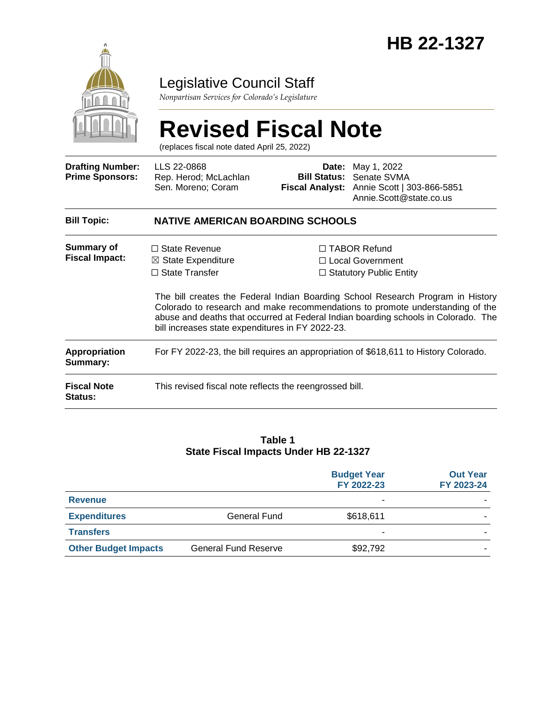

### Legislative Council Staff

*Nonpartisan Services for Colorado's Legislature*

# **Revised Fiscal Note**

(replaces fiscal note dated April 25, 2022)

| <b>Drafting Number:</b><br><b>Prime Sponsors:</b> | LLS 22-0868<br>Rep. Herod; McLachlan<br>Sen. Moreno; Coram                                                                         | Date:<br>Bill Status: | May 1, 2022<br>Senate SVMA<br>Fiscal Analyst: Annie Scott   303-866-5851<br>Annie.Scott@state.co.us                                                                                                                                                                                                                                   |  |  |
|---------------------------------------------------|------------------------------------------------------------------------------------------------------------------------------------|-----------------------|---------------------------------------------------------------------------------------------------------------------------------------------------------------------------------------------------------------------------------------------------------------------------------------------------------------------------------------|--|--|
| <b>Bill Topic:</b>                                | <b>NATIVE AMERICAN BOARDING SCHOOLS</b>                                                                                            |                       |                                                                                                                                                                                                                                                                                                                                       |  |  |
| Summary of<br><b>Fiscal Impact:</b>               | $\Box$ State Revenue<br>$\boxtimes$ State Expenditure<br>$\Box$ State Transfer<br>bill increases state expenditures in FY 2022-23. |                       | $\Box$ TABOR Refund<br>□ Local Government<br>$\Box$ Statutory Public Entity<br>The bill creates the Federal Indian Boarding School Research Program in History<br>Colorado to research and make recommendations to promote understanding of the<br>abuse and deaths that occurred at Federal Indian boarding schools in Colorado. The |  |  |
| <b>Appropriation</b><br>Summary:                  | For FY 2022-23, the bill requires an appropriation of \$618,611 to History Colorado.                                               |                       |                                                                                                                                                                                                                                                                                                                                       |  |  |
| <b>Fiscal Note</b><br>Status:                     | This revised fiscal note reflects the reengrossed bill.                                                                            |                       |                                                                                                                                                                                                                                                                                                                                       |  |  |

#### **Table 1 State Fiscal Impacts Under HB 22-1327**

|                             |                             | <b>Budget Year</b><br>FY 2022-23 | <b>Out Year</b><br>FY 2023-24 |
|-----------------------------|-----------------------------|----------------------------------|-------------------------------|
| <b>Revenue</b>              |                             | ۰                                |                               |
| <b>Expenditures</b>         | General Fund                | \$618,611                        |                               |
| <b>Transfers</b>            |                             |                                  |                               |
| <b>Other Budget Impacts</b> | <b>General Fund Reserve</b> | \$92,792                         |                               |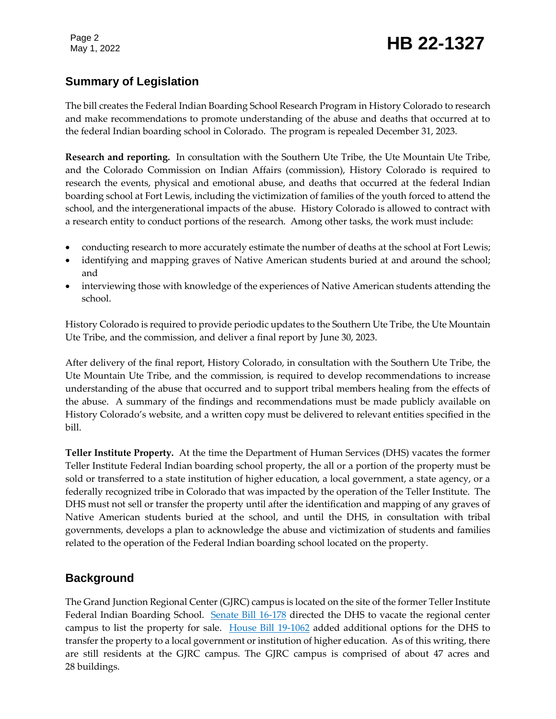## Page 2<br>May 1, 2022 **HB 22-1327**

#### **Summary of Legislation**

The bill creates the Federal Indian Boarding School Research Program in History Colorado to research and make recommendations to promote understanding of the abuse and deaths that occurred at to the federal Indian boarding school in Colorado. The program is repealed December 31, 2023.

**Research and reporting.** In consultation with the Southern Ute Tribe, the Ute Mountain Ute Tribe, and the Colorado Commission on Indian Affairs (commission), History Colorado is required to research the events, physical and emotional abuse, and deaths that occurred at the federal Indian boarding school at Fort Lewis, including the victimization of families of the youth forced to attend the school, and the intergenerational impacts of the abuse. History Colorado is allowed to contract with a research entity to conduct portions of the research. Among other tasks, the work must include:

- conducting research to more accurately estimate the number of deaths at the school at Fort Lewis;
- identifying and mapping graves of Native American students buried at and around the school; and
- interviewing those with knowledge of the experiences of Native American students attending the school.

History Colorado is required to provide periodic updates to the Southern Ute Tribe, the Ute Mountain Ute Tribe, and the commission, and deliver a final report by June 30, 2023.

After delivery of the final report, History Colorado, in consultation with the Southern Ute Tribe, the Ute Mountain Ute Tribe, and the commission, is required to develop recommendations to increase understanding of the abuse that occurred and to support tribal members healing from the effects of the abuse. A summary of the findings and recommendations must be made publicly available on History Colorado's website, and a written copy must be delivered to relevant entities specified in the bill.

**Teller Institute Property.** At the time the Department of Human Services (DHS) vacates the former Teller Institute Federal Indian boarding school property, the all or a portion of the property must be sold or transferred to a state institution of higher education, a local government, a state agency, or a federally recognized tribe in Colorado that was impacted by the operation of the Teller Institute. The DHS must not sell or transfer the property until after the identification and mapping of any graves of Native American students buried at the school, and until the DHS, in consultation with tribal governments, develops a plan to acknowledge the abuse and victimization of students and families related to the operation of the Federal Indian boarding school located on the property.

#### **Background**

The Grand Junction Regional Center (GJRC) campus is located on the site of the former Teller Institute Federal Indian Boarding School. [Senate Bill 16-178](https://leg.colorado.gov/bills/sb16-178) directed the DHS to vacate the regional center campus to list the property for sale. [House Bill 19-1062](https://leg.colorado.gov/bills/hb19-1062) added additional options for the DHS to transfer the property to a local government or institution of higher education. As of this writing, there are still residents at the GJRC campus. The GJRC campus is comprised of about 47 acres and 28 buildings.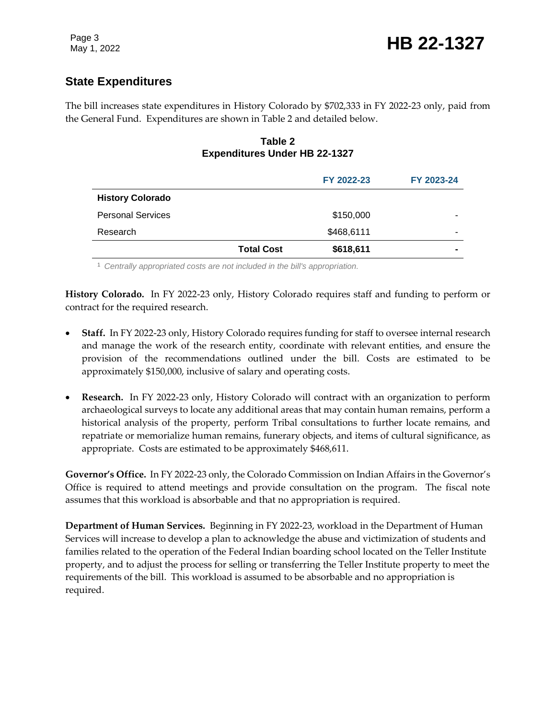#### **State Expenditures**

The bill increases state expenditures in History Colorado by \$702,333 in FY 2022-23 only, paid from the General Fund. Expenditures are shown in Table 2 and detailed below.

#### **Table 2 Expenditures Under HB 22-1327**

|                          |                   | FY 2022-23 | FY 2023-24 |
|--------------------------|-------------------|------------|------------|
| <b>History Colorado</b>  |                   |            |            |
| <b>Personal Services</b> |                   | \$150,000  |            |
| Research                 |                   | \$468,6111 |            |
|                          | <b>Total Cost</b> | \$618,611  |            |

<sup>1</sup> *Centrally appropriated costs are not included in the bill's appropriation.*

**History Colorado.** In FY 2022-23 only, History Colorado requires staff and funding to perform or contract for the required research.

- **Staff.** In FY 2022-23 only, History Colorado requires funding for staff to oversee internal research and manage the work of the research entity, coordinate with relevant entities, and ensure the provision of the recommendations outlined under the bill. Costs are estimated to be approximately \$150,000, inclusive of salary and operating costs.
- **Research.** In FY 2022-23 only, History Colorado will contract with an organization to perform archaeological surveys to locate any additional areas that may contain human remains, perform a historical analysis of the property, perform Tribal consultations to further locate remains, and repatriate or memorialize human remains, funerary objects, and items of cultural significance, as appropriate. Costs are estimated to be approximately \$468,611.

**Governor's Office.** In FY 2022-23 only, the Colorado Commission on Indian Affairs in the Governor's Office is required to attend meetings and provide consultation on the program. The fiscal note assumes that this workload is absorbable and that no appropriation is required.

**Department of Human Services.** Beginning in FY 2022-23, workload in the Department of Human Services will increase to develop a plan to acknowledge the abuse and victimization of students and families related to the operation of the Federal Indian boarding school located on the Teller Institute property, and to adjust the process for selling or transferring the Teller Institute property to meet the requirements of the bill. This workload is assumed to be absorbable and no appropriation is required.